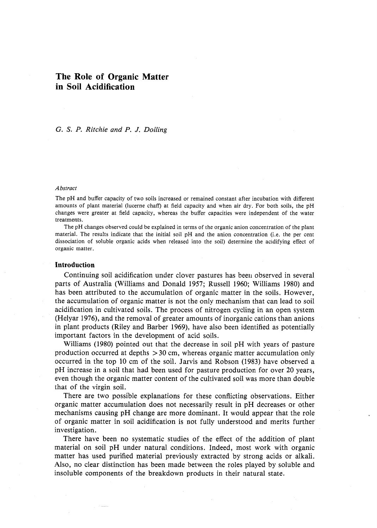# **The Role of Organic Matter in Soil Acidification**

# G. S. *P. Ritchie and P.* J. *Dolling*

### *Abstract*

 The pH and buffer capacity of two soils increased or remained constant after incubation with different amounts of plant material (lucerne chaff) at field capacity and when air dry. For both soils, the pH changes were greater at field capacity, whereas the buffer capacities were independent of the water treatments.

 The pH changes observed could be explained in terms of the organic anion concentration of the plant material. The results indicate that the initial soil pH and the anion concentration (i.e. the per cent dissociation of soluble organic acids when released into the soil) determine the acidifying effect of organic matter.

## **Introduction**

 Continuing soil acidification under clover pastures has beeu observed in several has been attributed to the accumulation of organic matter in the soils. However, the accumulation of organic matter is not the only mechanism that can lead to soil acidification in cultivated soils. The process of nitrogen cycling in an open system (Helyar 1976), and the removal of greater amounts of inorganic cations than anions in plant products (Riley and Barber 1969), have also been identified as potentially parts of Australia (Williams and Donald 1957; Russell 1960; Williams 1980) and important factors in the development of acid soils.

 Williams (1980) pointed out that the decrease in soil pH with years of pasture production occurred at depths> 30 em, whereas organic matter accumulation only occurred in the top 10 em of the soil. Jarvis and Robson (1983) have observed a pH increase in a soil that had been used for pasture production for over 20 years, even though the organic matter content of the cultivated soil was more than double that of the virgin soil.

 There are two possible explanations for these conflicting observations. Either organic matter accumulation does not necessarily result in pH decreases or other mechanisms causing pH change are more dominant. It would appear that the role of organic matter in soil acidification is not fully understood and merits further investigation.

 There have been no systematic studies of the effect of the addition of plant material on soil pH under natural conditions. Indeed, most work with organic matter has used purified material previously extracted by strong acids or alkali. Also, no clear distinction has been made between the roles played by soluble and insoluble components of the breakdown products in their natural state.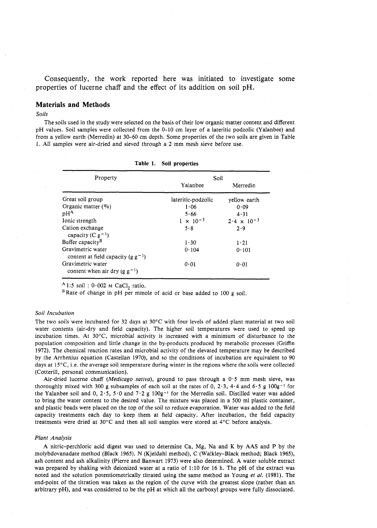Consequently, the work reported here was initiated to investigate some properties of lucerne chaff and the effect of its addition on soil pH.

## **Materials and Methods**

### *Soils*

 The soils used in the study were selected on the basis of their low organic matter content and different pH values. Soil samples were collected from the 0-10 cm layer of a lateritic podzolic (Yalanbee) and from a yellow earth (Merredin) at 30-60 cm depth. Some properties of the two soils are given in Table 1. All samples were air-dried and sieved through a 2 mm mesh sieve before use.

| Property                                                     | Soil               |                      |
|--------------------------------------------------------------|--------------------|----------------------|
|                                                              | Yalanbee           | Merredin             |
| Great soil group                                             | lateritic-podzolic | vellow earth         |
| Organic matter $(\%)$                                        | 1.06               | 0.09                 |
| pH <sup>A</sup>                                              | 5.66               | 4.31                 |
| Ionic strength                                               | $1 \times 10^{-3}$ | $2.4 \times 10^{-3}$ |
| Cation exchange<br>capacity (C $g^{-1}$ )                    | 5.8                | 2.9                  |
| Buffer capacity <sup>B</sup>                                 | 1.30               | $1 \cdot 21$         |
| Gravimetric water<br>content at field capacity (g $g^{-1}$ ) | 0.104              | 0.101                |
| Gravimetric water<br>content when air dry ( $g g^{-1}$ )     | 0.01               | 0.01                 |

Table 1. Soil properties

 $A$  1:5 soil: 0.002 M CaCl, ratio.

<sup>B</sup>Rate of change in pH per mmole of acid or base added to 100 g soil.

### *Soil Incubation*

 The two soils were incubated for 32 days at 30°C with four levels of added plant material at two soil water contents (air-dry and field capacity). The higher soil temperatures were used to speed up incubation times. At *30°C,* microbial activity is increased with a minimum of disturbance to the 1972). The chemical reaction rates and microbial activity of the elevated temperature may be described by the Arrhenius equation (Castellan 1970), and so the conditions of incubation are equivalent to 90 days at 15°C, i.e. the average soil temperature during winter in the regions where the soils were collected population composition and little change in the by-products produced by metabolic processes (Griffin (Cotterill, personal communication).

 Air-dried lucerne chaff *(Medicago sativa),* ground to pass through a O' 5 mm mesh sieve, was thoroughly mixed with 300 g subsamples of each soil at the rates of 0,  $2.3$ ,  $4.4$  and  $6.5$  g  $100g^{-1}$  for the Yalanbee soil and 0,  $2 \cdot 5$ ,  $5 \cdot 0$  and  $7 \cdot 2$  g  $100g^{-1}$  for the Merredin soil. Distilled water was added to bring the water content to the desired value. The mixture was placed in a 500 ml plastic container, and plastic beads were placed on the top of the soil to reduce evaporation. Water was added to the field capacity treatments each day to keep them at field capacity. After incubation, the field capacity treatments were dried at *30°C* and then all soil samples were stored at 4°C before analysis.

#### *Plant Analysis*

 A nitric-perchloricacid digest was used to determine Ca, Mg, Na and K by AAS and P by the molybdovanadate method (Black 1965). N (Kjeldahl method), C (Walkley-Black method; Black 1965), ash content and ash alkalinity (Pierre and Banwart 1973) were also determined. A water soluble extract was prepared by shaking with deionized water at a ratio of 1:10 for 16 h. The pH of the extract was noted and the solution potentiometrically titrated using the same method as Young *et al.* (1981). The end-point of the titration was taken as the region of the curve with the greatest slope (rather than an arbitrary pH), and was considered to be the pH at which all the carboxyl groups were fully dissociated.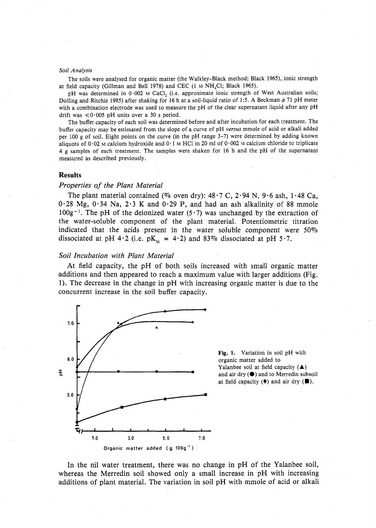### *Soil Analysis*

 The soils were analysed for organic matter (the Walkley-Black method; Black 1965), ionic strength at field capacity (Gillman and Bell 1978) and CEC (1  $\text{M NH}_4\text{Cl}$ ; Black 1965).

pH was determined in  $0.002$  M CaCl<sub>2</sub> (i.e. approximate ionic strength of West Australian soils; Dolling and Ritchie 1985) after shaking for 16 h at a soil-liquid ratio of 1:5. A Beckman  $\phi$  71 pH meter with a combination electrode was used to measure the pH of the clear supernatant liquid after any pH drift was <0'005 pH units over a 30 s period.

 The buffer capacity of each soil was determined before and after incubation for each treatment. The buffer capacity may be estimated from the slope of a curve of pH *versus* mmole of acid or alkali added per 100 g of soil. Eight points on the curve (in the pH range 3-7) were determined by adding known aliquots of 0.02 M calcium hydroxide and  $0.1$  M HCl in 20 ml of 0.002 M calcium chloride to triplicate 4 g samples of each treatment. The samples were shaken for 16 h and the pH of the supernatant measured as described previously.

## **Results**

# *Properties of the Plant Material*

The plant material contained ( $\%$  oven dry): 48·7 C, 2·94 N, 9·6 ash, 1·48 Ca,  $0.28$  Mg,  $0.34$  Na,  $2.3$  K and  $0.29$  P, and had an ash alkalinity of 88 mmole  $100g^{-1}$ . The pH of the deionized water (5.7) was unchanged by the extraction of the water-soluble component of the plant material. Potentiometric titration indicated that the acids present in the water soluble component were 50% dissociated at pH 4·2 (i.e.  $pK_m = 4.2$ ) and 83% dissociated at pH 5·7.

# *Soil Incubation with Plant Material*

 At field capacity, the pH of both soils increased with small organic matter additions and then appeared to reach a maximum value with larger additions (Fig. 1). The decrease in the change in pH with increasing organic matter is due to the concurrent increase in the soil buffer capacity.



 Fig. 1. Variation in soil pH with Yalanbee soil at field capacity  $(A)$ and air dry  $(\bullet)$  and to Merredin subsoil at field capacity  $(\blacklozenge)$  and air dry  $(\blacksquare)$ .

 In the nil water treatment, there was no change in pH of the Yalanbee soil, whereas the Merredin soil showed only a small increase in pH with increasing additions of plant material. The variation in soil pH with mmole of acid or alkali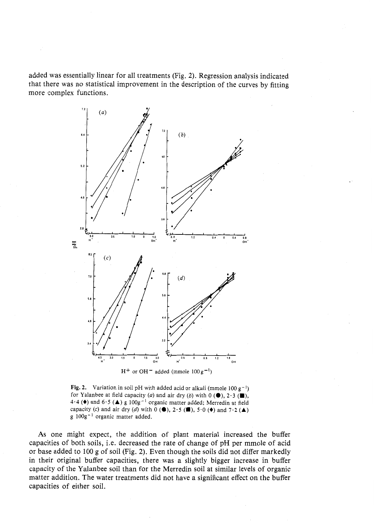added was essentially linear for all treatments (Fig. 2). Regression analysis indicated more complex functions. that there was no statistical improvement in the description of the curves by fitting



 $H^+$  or OH<sup>-</sup> added (mmole  $100 g^{-1}$ )

Fig. 2. Variation in soil pH with added acid or alkali (mmole  $100 g^{-1}$ ) 4.4 ( $\blacklozenge$ ) and 6.5 ( $\blacktriangle$ ) g  $100g^{-1}$  organic matter added; Merredin at field capacity (c) and air dry (d) with  $0$  ( $\bullet$ ),  $2.5$  ( $\bullet$ ),  $5.0$  ( $\bullet$ ) and  $7.2$  ( $\triangle$ ) g 100g<sup>-1</sup> organic matter added. for Yalanbee at field capacity (a) and air dry (b) with  $0 (\bullet)$ ,  $2 \cdot 3 (\blacksquare)$ ,

 As one might expect, the addition of plant material increased the buffer capacities of both soils, i.e. decreased the rate of change of pH per mmole of acid or base added to 100 g of soil (Fig. 2). Even though the soils did not differ markedly in their original buffer capacities, there was a slightly bigger increase in buffer capacity of the Yalanbee soil than for the Merredin soil at similar levels of organic matter addition. The water treatments did not have a significant effect on the buffer capacities of either soil.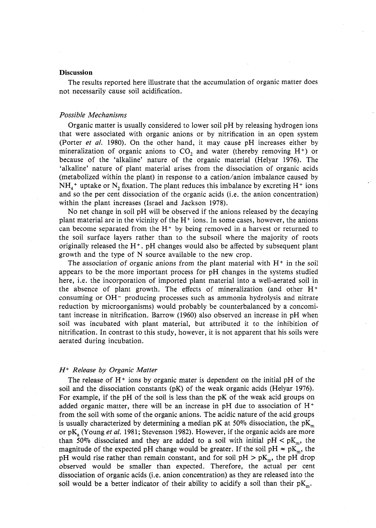## **Discussion**

 The results reported here illustrate that the accumulation of organic matter does not necessarily cause soil acidification.

## *Possible Mechanisms*

 Organic matter is usually considered to lower soil pH by releasing hydrogen ions that were associated with organic anions or by nitrification in an open system (Porter *et al.* 1980). On the other hand, it may cause pH increases either by mineralization of organic anions to  $CO_2$  and water (thereby removing H<sup>+</sup>) or because of the 'alkaline' nature of the organic material (Helyar 1976). The 'alkaline' nature of plant material arises from the dissociation of organic acids (metabolized within the plant) in response to a cation/anion imbalance caused by  $NH<sub>4</sub>$ <sup>+</sup> uptake or N<sub>2</sub> fixation. The plant reduces this imbalance by excreting H<sup>+</sup> ions and so the per cent dissociation of the organic acids (i.e. the anion concentration) within the plant increases (Israel and Jackson 1978).

 No net change in soil pH will be observed if the anions released by the decaying plant material are in the vicinity of the  $H^+$  ions. In some cases, however, the anions can become separated from the  $H^+$  by being removed in a harvest or returned to the soil surface layers rather than to the subsoil where the majority of roots originally released the  $H^+$ . pH changes would also be affected by subsequent plant growth and the type of N source available to the new crop.

The association of organic anions from the plant material with  $H^+$  in the soil here, i.e. the incorporation of imported plant material into a well-aerated soil in the absence of plant growth. The effects of mineralization (and other H+ consuming or OH- producing processes such as ammonia hydrolysis and nitrate tant increase in nitrification. Barrow (1960) also observed an increase in pH when soil was incubated with plant material, but attributed it to the inhibition of nitrification. In contrast to this study, however, it is not apparent that his soils were aerated during incubation. appears to be the more important process for pH changes in the systems studied reduction by microorganisms) would probably be counterbalanced by a concomi-

### H+ *Release by Organic Matter*

The release of  $H<sup>+</sup>$  ions by organic mater is dependent on the initial pH of the soil and the dissociation constants (pK) of the weak organic acids (Helyar 1976). added organic matter, there will be an increase in pH due to association of  $H^+$  from the soil with some of the organic anions. The acidic nature of the acid groups is usually characterized by determining a median pK at 50% dissociation, the  $\rm{pK}_{m}$ or pK<sub>a</sub> (Young *et al.* 1981; Stevenson 1982). However, if the organic acids are more than 50% dissociated and they are added to a soil with initial  $pH < pK_m$ , the magnitude of the expected pH change would be greater. If the soil pH  $\approx pK_m$ , the pH would rise rather than remain constant, and for soil  $pH > pK_m$ , the pH drop observed would be smaller than expected. Therefore, the actual per cent dissociation of organic acids (i.e. anion concentration) as they are released into the soil would be a better indicator of their ability to acidify a soil than their  $pK_m$ . For example, if the pH of the soil is less than the pK of the weak acid groups on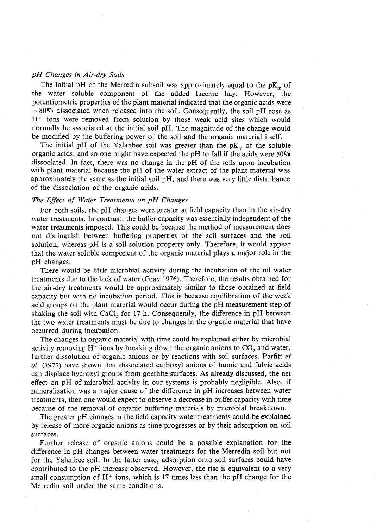### *pH Changes in Air-dry Soils*

The initial pH of the Merredin subsoil was approximately equal to the  $pK_m$  of the water soluble component of the added lucerne hay. However, the potentiometric properties of the plant material indicated that the organic acids were  $\sim 80\%$  dissociated when released into the soil. Consequently, the soil pH rose as H<sup>+</sup> ions were removed from solution by those weak acid sites which would normally be associated at the initial soil pH. The magnitude of the change would be modified by the buffering power of the soil and the organic material itself.

The initial pH of the Yalanbee soil was greater than the  $pK_m$  of the soluble organic acids, and so one might have expected the pH to fall if the acids were 50% with plant material because the pH of the water extract of the plant material was approximately the same as the initial soil pH, and there was very little disturbance of the dissociation of the organic acids. dissociated. In fact, there was no change in the pH of the soils upon incubation

# *The Effect of Water Treatments on pH Changes*

 For both soils, the pH changes were greater at field capacity than in the air-dry water treatments imposed. This could be because the method of measurement does not distinguish between buffering properties of the soil surfaces and the soil solution, whereas pH is a soil solution property only. Therefore, it would appear that the water soluble component of the organic material plays a major role in the water treatments. In contrast, the buffer capacity was essentially independent of the pH changes.

 There would be little microbial activity during the incubation of the nil water treatments due to the lack of water (Gray 1976). Therefore, the results obtained for the air-dry treatments would be approximately similar to those obtained at field capacity but with no incubation period. This is because equilibration of the weak acid groups on the plant material would occur during the pH measurement step of shaking the soil with  $CaCl<sub>2</sub>$  for 17 h. Consequently, the difference in pH between the two water treatments must be due to changes in the organic material that have occurred during incubation.

 The changes in organic material with time could be explained either by microbial activity removing H + ions by breaking down the organic anions to CO*2* and water, al. (1977) have shown that dissociated carboxyl anions of humic and fulvic acids can displace hydroxyl groups from goethite surfaces. As already discussed, the net effect on pH of microbial activity in our systems is probably negligible. Also, if mineralization was a major cause of the difference in pH increases between water treatments, then one would expect to observe a decrease in buffer capacity with time because of the removal of organic buffering materials by microbial breakdown. further dissolution of organic anions or by reactions with soil surfaces. Parfitt *et* 

 The greater pH changes in the field capacity water treatments could be explained by release of more organic anions as time progresses or by their adsorption on soil surfaces.

 Further release of organic anions could be a possible explanation for the difference in pH changes between water treatments for the Merredin soil but not for the Yalanbee soil. In the latter case, adsorption onto soil surfaces could have contributed to the pH increase observed. However, the rise is equivalent to a very Merredin soil under the same conditions. small consumption of  $H<sup>+</sup>$  ions, which is 17 times less than the pH change for the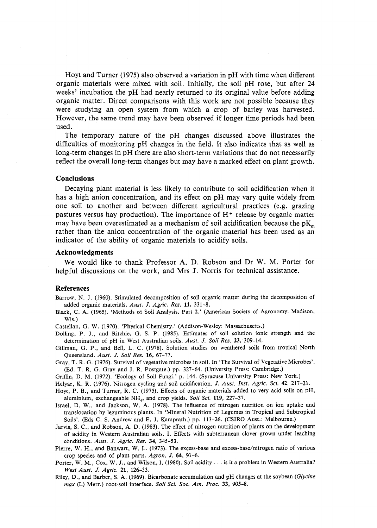Hoyt and Turner (1975) also observed a variation in pH with time when different organic materials were mixed with soil. Initially, the soil pH rose, but after 24 weeks' incubation the pH had nearly returned to its original value before adding organic matter. Direct comparisons with this work are not possible because they However, the same trend may have been observed if longer time periods had been were studying an open system from which a crop of barley was harvested. used.

 The temporary nature of the pH changes discussed above illustrates the difficulties of monitoring pH changes in the field. It also indicates that as well as long-term changes in pH there are also short-term variations that do not necessarily reflect the overall long-term changes but may have a marked effect on plant growth.

### **Conclusions**

 Decaying plant material is less likely to contribute to soil acidification when it has a high anion concentration, and its effect on pH may vary quite widely from one soil to another and between different agricultural practices (e.g. grazing pastures versus hay production). The importance of  $H<sup>+</sup>$  release by organic matter may have been overestimated as a mechanism of soil acidification because the  $pK_{m}$  rather than the anion concentration of the organic material has been used as an indicator of the ability of organic materials to acidify soils.

### **Acknowledgments**

 We would like to thank Professor A. D. Robson and Dr W. M. Porter for helpful discussions on the work, and Mrs J. Norris for technical assistance.

### **References**

 Barrow, N. J. (1960). Stimulated decomposition of soil organic matter during the decomposition of added organic materials. *Aust.* J. *Agric. Res.* 11, 331-8.

 Black, C. A. (1965). 'Methods of Soil Analysis. Part 2.' (American Society of Agronomy: Madison, Wis.)

Castellan, G. W. (1970). 'Physical Chemistry.' (Addison-Wesley: Massachusetts.)

 Dolling, P. 1., and Ritchie, G. S. P. (1985). Estimates of soil solution ionic strength and the determination of pH in West Australian soils. *Aust.* J. *Soil Res.* 23, 309-14.

- Gillman, G. P., and Bell, L. C. (1978). Solution studies on weathered soils from tropical North Queensland. *Aust.* J. *Soil Res.* 16, 67-77.
- Gray, T. R. G. (1976). Survival of vegetative microbes in soil. In 'The Survival of Vegetative Microbes'. (Ed. T. R. G. Gray and 1. R. Postgate.) pp. 327-64. (University Press: Cambridge.)
- Griffin, D. M. (1972). 'Ecology of Soil Fungi.' p. 144. (Syracuse University Press: New York.)

 Helyar, K. R. (1976). Nitrogen cycling and soil acidification. J. *Aust. [nst. Agric. Sci.* 42,217-21.

 Hoyt, P. B., and Turner, R. C. (1975). Effects of organic materials added to very acid soils on pH, aluminium, exchangeable NH4, and crop yields. *Soil Sci.* 119, 227-37.

- Israel, D. W., and Jackson, W. A. (1978). The influence of nitrogen nutrition on ion uptake and translocation by leguminous plants. In 'Mineral Nutrition of Legumes in Tropical and Subtropical Soils'. (Eds C. S. Andrew and E. J. Kamprath.) pp. 113-26. (CSIRO Aust.: Melbourne.)
- Jarvis, S. C., and Robson, A. D. (1983). The effect of nitrogen nutrition of plants on the development of acidity in Western Australian soils. I. Effects with subterranean clover grown under leaching  conditions. *Aust.* J. *Agric. Res.* 34, 345-53.
- Pierre, W. H., and Banwart, W. L. (1973). The excess-base and excess-base/nitrogen ratio of various crop species and of plant parts. *Agron.* J. 64, 91-6.
- Porter, W. M., Cox, W. 1., and Wilson, I. (1980). Soil acidity ... is it a problem in Western Australia? *West Aust.* J. *Agric.* 21, 126-33.
- Riley, D., and Barber, S. A. (1969). Bicarbonate accumulation and pH changes at the soybean *(Glycine max* (L) Merr.) root-soil interface. *Soil Sci. Soc. Am. Proc.* 33, 905-8.